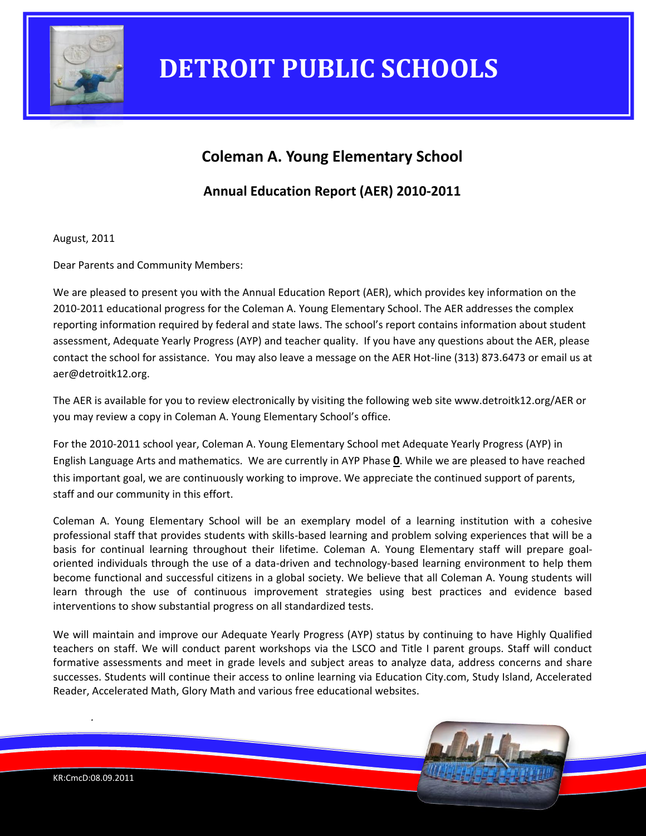

## **Coleman A. Young Elementary School**

## **Annual Education Report (AER) 2010-2011**

August, 2011

Dear Parents and Community Members:

We are pleased to present you with the Annual Education Report (AER), which provides key information on the 2010-2011 educational progress for the Coleman A. Young Elementary School. The AER addresses the complex reporting information required by federal and state laws. The school's report contains information about student assessment, Adequate Yearly Progress (AYP) and teacher quality. If you have any questions about the AER, please contact the school for assistance. You may also leave a message on the AER Hot-line (313) 873.6473 or email us at aer@detroitk12.org.

The AER is available for you to review electronically by visiting the following web site www.detroitk12.org/AER or you may review a copy in Coleman A. Young Elementary School's office.

For the 2010-2011 school year, Coleman A. Young Elementary School met Adequate Yearly Progress (AYP) in English Language Arts and mathematics. We are currently in AYP Phase **0**. While we are pleased to have reached this important goal, we are continuously working to improve. We appreciate the continued support of parents, staff and our community in this effort.

Coleman A. Young Elementary School will be an exemplary model of a learning institution with a cohesive professional staff that provides students with skills-based learning and problem solving experiences that will be a basis for continual learning throughout their lifetime. Coleman A. Young Elementary staff will prepare goaloriented individuals through the use of a data-driven and technology-based learning environment to help them become functional and successful citizens in a global society. We believe that all Coleman A. Young students will learn through the use of continuous improvement strategies using best practices and evidence based interventions to show substantial progress on all standardized tests.

We will maintain and improve our Adequate Yearly Progress (AYP) status by continuing to have Highly Qualified teachers on staff. We will conduct parent workshops via the LSCO and Title I parent groups. Staff will conduct formative assessments and meet in grade levels and subject areas to analyze data, address concerns and share successes. Students will continue their access to online learning via Education City.com, Study Island, Accelerated Reader, Accelerated Math, Glory Math and various free educational websites.

*.*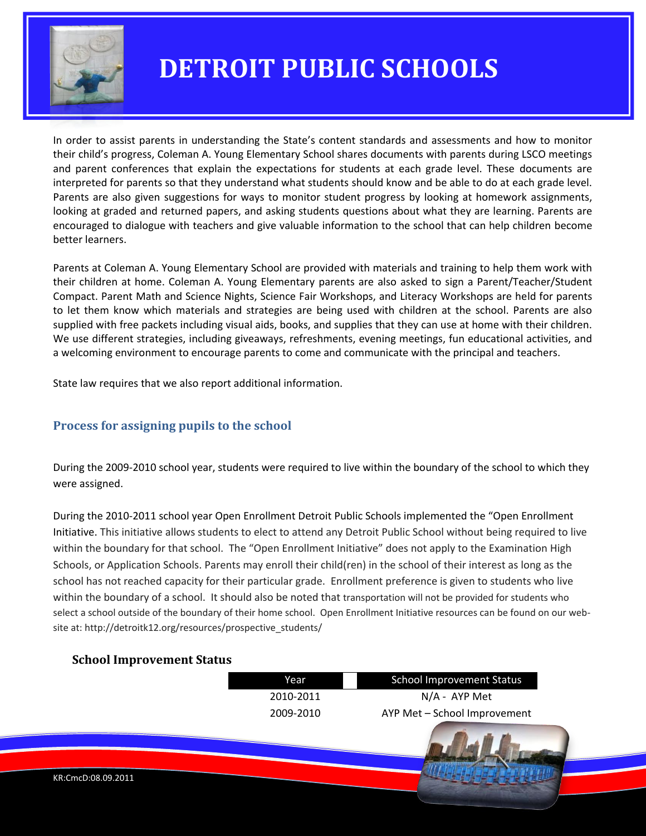

In order to assist parents in understanding the State's content standards and assessments and how to monitor their child's progress, Coleman A. Young Elementary School shares documents with parents during LSCO meetings and parent conferences that explain the expectations for students at each grade level. These documents are interpreted for parents so that they understand what students should know and be able to do at each grade level. Parents are also given suggestions for ways to monitor student progress by looking at homework assignments, looking at graded and returned papers, and asking students questions about what they are learning. Parents are encouraged to dialogue with teachers and give valuable information to the school that can help children become better learners.

Parents at Coleman A. Young Elementary School are provided with materials and training to help them work with their children at home. Coleman A. Young Elementary parents are also asked to sign a Parent/Teacher/Student Compact. Parent Math and Science Nights, Science Fair Workshops, and Literacy Workshops are held for parents to let them know which materials and strategies are being used with children at the school. Parents are also supplied with free packets including visual aids, books, and supplies that they can use at home with their children. We use different strategies, including giveaways, refreshments, evening meetings, fun educational activities, and a welcoming environment to encourage parents to come and communicate with the principal and teachers.

State law requires that we also report additional information.

### **Process for assigning pupils to the school**

During the 2009-2010 school year, students were required to live within the boundary of the school to which they were assigned.

During the 2010-2011 school year Open Enrollment Detroit Public Schools implemented the "Open Enrollment Initiative. This initiative allows students to elect to attend any Detroit Public School without being required to live within the boundary for that school. The "Open Enrollment Initiative" does not apply to the Examination High Schools, or Application Schools. Parents may enroll their child(ren) in the school of their interest as long as the school has not reached capacity for their particular grade. Enrollment preference is given to students who live within the boundary of a school. It should also be noted that transportation will not be provided for students who select a school outside of the boundary of their home school. Open Enrollment Initiative resources can be found on our website at: http://detroitk12.org/resources/prospective\_students/

### **School Improvement Status**

|                    | Year      | <b>School Improvement Status</b> |  |
|--------------------|-----------|----------------------------------|--|
|                    | 2010-2011 | $N/A$ - AYP Met                  |  |
|                    | 2009-2010 | AYP Met - School Improvement     |  |
|                    |           |                                  |  |
| KR:CmcD:08.09.2011 |           |                                  |  |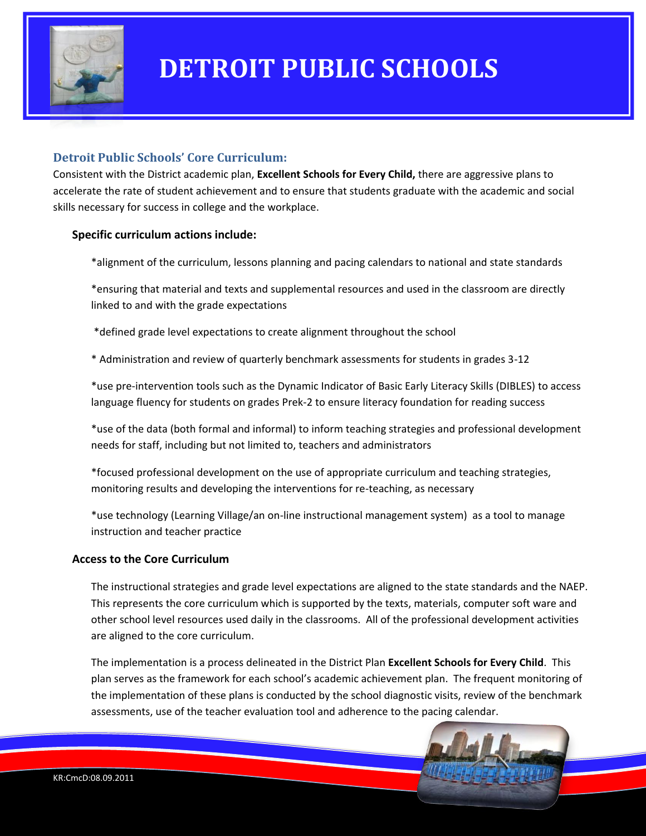

### **Detroit Public Schools' Core Curriculum:**

Consistent with the District academic plan, **Excellent Schools for Every Child,** there are aggressive plans to accelerate the rate of student achievement and to ensure that students graduate with the academic and social skills necessary for success in college and the workplace.

#### **Specific curriculum actions include:**

\*alignment of the curriculum, lessons planning and pacing calendars to national and state standards

\*ensuring that material and texts and supplemental resources and used in the classroom are directly linked to and with the grade expectations

\*defined grade level expectations to create alignment throughout the school

\* Administration and review of quarterly benchmark assessments for students in grades 3-12

\*use pre-intervention tools such as the Dynamic Indicator of Basic Early Literacy Skills (DIBLES) to access language fluency for students on grades Prek-2 to ensure literacy foundation for reading success

\*use of the data (both formal and informal) to inform teaching strategies and professional development needs for staff, including but not limited to, teachers and administrators

\*focused professional development on the use of appropriate curriculum and teaching strategies, monitoring results and developing the interventions for re-teaching, as necessary

\*use technology (Learning Village/an on-line instructional management system) as a tool to manage instruction and teacher practice

#### **Access to the Core Curriculum**

The instructional strategies and grade level expectations are aligned to the state standards and the NAEP. This represents the core curriculum which is supported by the texts, materials, computer soft ware and other school level resources used daily in the classrooms. All of the professional development activities are aligned to the core curriculum.

The implementation is a process delineated in the District Plan **Excellent Schools for Every Child**. This plan serves as the framework for each school's academic achievement plan. The frequent monitoring of the implementation of these plans is conducted by the school diagnostic visits, review of the benchmark assessments, use of the teacher evaluation tool and adherence to the pacing calendar.

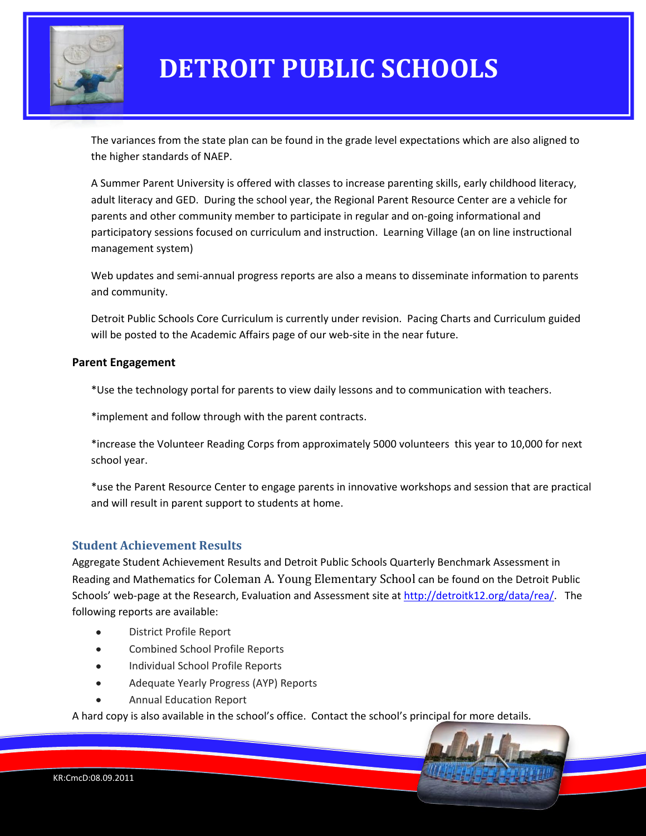

The variances from the state plan can be found in the grade level expectations which are also aligned to the higher standards of NAEP.

A Summer Parent University is offered with classes to increase parenting skills, early childhood literacy, adult literacy and GED. During the school year, the Regional Parent Resource Center are a vehicle for parents and other community member to participate in regular and on-going informational and participatory sessions focused on curriculum and instruction. Learning Village (an on line instructional management system)

Web updates and semi-annual progress reports are also a means to disseminate information to parents and community.

Detroit Public Schools Core Curriculum is currently under revision. Pacing Charts and Curriculum guided will be posted to the Academic Affairs page of our web-site in the near future.

#### **Parent Engagement**

\*Use the technology portal for parents to view daily lessons and to communication with teachers.

\*implement and follow through with the parent contracts.

\*increase the Volunteer Reading Corps from approximately 5000 volunteers this year to 10,000 for next school year.

\*use the Parent Resource Center to engage parents in innovative workshops and session that are practical and will result in parent support to students at home.

### **Student Achievement Results**

Aggregate Student Achievement Results and Detroit Public Schools Quarterly Benchmark Assessment in Reading and Mathematics for Coleman A. Young Elementary School can be found on the Detroit Public Schools' web-page at the Research, Evaluation and Assessment site at [http://detroitk12.org/data/rea/.](http://detroitk12.org/data/rea/) The following reports are available:

- District Profile Report
- Combined School Profile Reports
- Individual School Profile Reports
- Adequate Yearly Progress (AYP) Reports
- Annual Education Report

A hard copy is also available in the school's office. Contact the school's principal for more details.